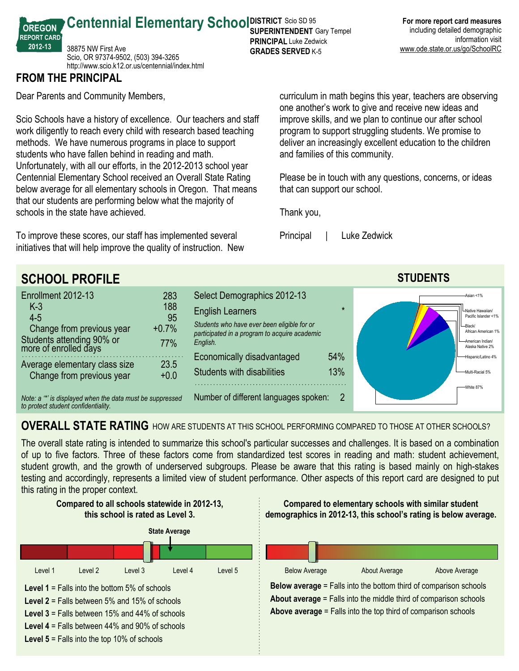38875 NW First Ave Scio, OR 97374-9502, (503) 394-3265 http://www.scio.k12.or.us/centennial/index.html

## **FROM THE PRINCIPAL**

**OREGON REPORT CARD 201213**

Dear Parents and Community Members,

Scio Schools have a history of excellence. Our teachers and staff work diligently to reach every child with research based teaching methods. We have numerous programs in place to support students who have fallen behind in reading and math. Unfortunately, with all our efforts, in the 2012-2013 school year Centennial Elementary School received an Overall State Rating below average for all elementary schools in Oregon. That means that our students are performing below what the majority of schools in the state have achieved.

To improve these scores, our staff has implemented several initiatives that will help improve the quality of instruction. New curriculum in math begins this year, teachers are observing one another's work to give and receive new ideas and improve skills, and we plan to continue our after school program to support struggling students. We promise to deliver an increasingly excellent education to the children and families of this community.

Please be in touch with any questions, concerns, or ideas that can support our school.

Thank you,

Principal | Luke Zedwick



## **OVERALL STATE RATING** HOW ARE STUDENTS AT THIS SCHOOL PERFORMING COMPARED TO THOSE AT OTHER SCHOOLS?

The overall state rating is intended to summarize this school's particular successes and challenges. It is based on a combination of up to five factors. Three of these factors come from standardized test scores in reading and math: student achievement, student growth, and the growth of underserved subgroups. Please be aware that this rating is based mainly on high-stakes testing and accordingly, represents a limited view of student performance. Other aspects of this report card are designed to put this rating in the proper context.



**Centennial Elementary School SUPER RICT SCIO SD 95 SUPERINTENDENT** Gary Tempel **PRINCIPAL** Luke Zedwick **GRADES SERVED K-5**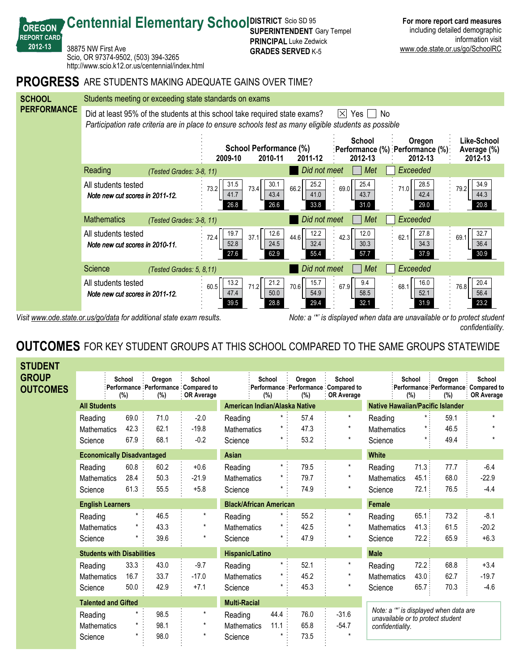

**SUPERINTENDENT** Gary Tempel **PRINCIPAL** Luke Zedwick

**Centennial Elementary School SUPER RICT SCIO SD 95** 

**OREGON REPORT CARD 201213**

Visit www.ode.state.or.us/go/data for additional state exam results. Note: a '\*' is displayed when data are unavailable or to protect student *confidentiality.*

**For more report card measures** including detailed demographic

information visit

## **OUTCOMES** FOR KEY STUDENT GROUPS AT THIS SCHOOL COMPARED TO THE SAME GROUPS STATEWIDE

| <b>STUDENT</b>                  |                                   |                                   |               |                                                                    |                               |                  |               |                                                             |                                                                             |               |                                                       |                             |
|---------------------------------|-----------------------------------|-----------------------------------|---------------|--------------------------------------------------------------------|-------------------------------|------------------|---------------|-------------------------------------------------------------|-----------------------------------------------------------------------------|---------------|-------------------------------------------------------|-----------------------------|
| <b>GROUP</b><br><b>OUTCOMES</b> |                                   | School<br>(%)                     | Oregon<br>(%) | School<br>Performance Performance Compared to<br><b>OR Average</b> |                               | School<br>$(\%)$ | Oregon<br>(%) | School<br>Performance Performance Compared to<br>OR Average |                                                                             | School<br>(%) | Oregon<br>:Performance Performance Compared to<br>(%) | School<br><b>OR Average</b> |
|                                 |                                   | <b>All Students</b>               |               |                                                                    | American Indian/Alaska Native |                  |               |                                                             | <b>Native Hawaiian/Pacific Islander</b>                                     |               |                                                       |                             |
|                                 | Reading                           | 69.0                              | 71.0          | $-2.0$                                                             | Reading                       | $\star$ :        | 57.4          | $\star$                                                     | Reading                                                                     | $\star$ :     | 59.1                                                  | $\star$                     |
|                                 | Mathematics                       | 42.3                              | 62.1          | $-19.8$                                                            | <b>Mathematics</b>            |                  | 47.3          | $\star$                                                     | Mathematics                                                                 |               | 46.5                                                  |                             |
|                                 | Science                           | 67.9                              | 68.1          | $-0.2$                                                             | Science                       | $\star$          | 53.2          | $\star$                                                     | Science                                                                     | $\star$       | 49.4                                                  |                             |
|                                 |                                   | <b>Economically Disadvantaged</b> |               |                                                                    |                               |                  |               |                                                             | <b>White</b>                                                                |               |                                                       |                             |
|                                 | Reading                           | 60.8                              | 60.2          | $+0.6$                                                             | Reading                       | $\star$ :        | 79.5          | $\star$                                                     | Reading                                                                     | 71.3:         | 77.7                                                  | $-6.4$                      |
|                                 | <b>Mathematics</b>                | 28.4                              | 50.3          | $-21.9$                                                            | <b>Mathematics</b>            |                  | 79.7          |                                                             | <b>Mathematics</b>                                                          | 45.1          | 68.0                                                  | $-22.9$                     |
|                                 | Science                           | 61.3                              | 55.5          | $+5.8$                                                             | Science                       |                  | 74.9          | $^\star$                                                    | Science                                                                     | 72.1:         | 76.5                                                  | $-4.4$                      |
|                                 | <b>English Learners</b>           |                                   |               | <b>Black/African American</b>                                      |                               |                  |               | <b>Female</b>                                               |                                                                             |               |                                                       |                             |
|                                 | Reading                           |                                   | 46.5          | $\star$                                                            | Reading                       | $^{\star}$       | 55.2          | $\star$                                                     | Reading                                                                     | 65.1          | 73.2                                                  | $-8.1$                      |
|                                 | <b>Mathematics</b>                |                                   | 43.3          | $\star$                                                            | <b>Mathematics</b>            |                  | 42.5          | $^\star$                                                    | <b>Mathematics</b>                                                          | 41.3:         | 61.5                                                  | $-20.2$                     |
|                                 | Science                           |                                   | 39.6          | $\star$                                                            | Science                       | $^{\star}$       | 47.9          | $\star$                                                     | Science                                                                     | 72.2:         | 65.9                                                  | $+6.3$                      |
|                                 | <b>Students with Disabilities</b> |                                   |               | <b>Hispanic/Latino</b>                                             |                               |                  |               | <b>Male</b>                                                 |                                                                             |               |                                                       |                             |
|                                 | Reading                           | 33.3                              | 43.0          | $-9.7$                                                             | Reading                       | $\star$ :        | 52.1          | $^\star$                                                    | Reading                                                                     | 72.2          | 68.8                                                  | $+3.4$                      |
|                                 | <b>Mathematics</b>                | 16.7                              | 33.7          | $-17.0$                                                            | <b>Mathematics</b>            | $^{\star}$       | 45.2          | $^\star$                                                    | <b>Mathematics</b>                                                          | 43.0:         | 62.7                                                  | $-19.7$                     |
|                                 | Science                           | 50.0                              | 42.9          | $+7.1$                                                             | Science                       |                  | 45.3          | $\star$                                                     | Science                                                                     | 65.7          | 70.3                                                  | $-4.6$                      |
|                                 | <b>Talented and Gifted</b>        |                                   |               |                                                                    | <b>Multi-Racial</b>           |                  |               |                                                             |                                                                             |               |                                                       |                             |
|                                 | Reading                           |                                   | 98.5          | $\star$                                                            | Reading                       | 44.4             | 76.0          | $-31.6$                                                     | Note: a "*' is displayed when data are<br>unavailable or to protect student |               |                                                       |                             |
|                                 | <b>Mathematics</b>                |                                   | 98.1          | $\star$                                                            | <b>Mathematics</b>            | 11.1             | 65.8          | $-54.7$                                                     | confidentiality.                                                            |               |                                                       |                             |
|                                 | Science                           |                                   | 98.0          | $\star$                                                            | Science                       |                  | 73.5          |                                                             |                                                                             |               |                                                       |                             |